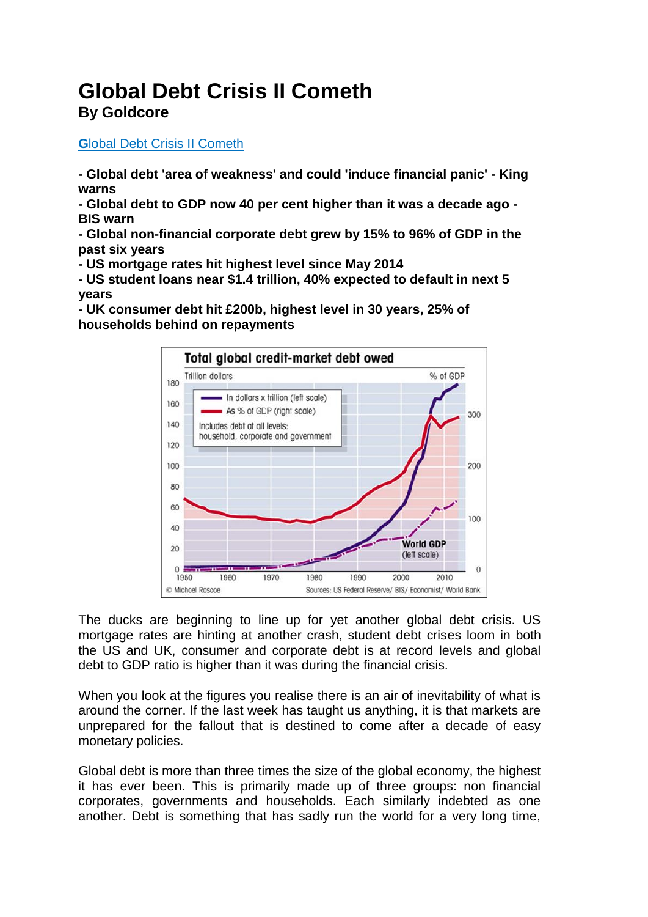# **Global Debt Crisis II Cometh By Goldcore**

## **G**[lobal Debt Crisis II Cometh](https://news.goldcore.com/ie/gold-blog/global-debt-crisis-ii-cometh/)

**- Global debt 'area of weakness' and could 'induce financial panic' - King warns**

**- Global debt to GDP now 40 per cent higher than it was a decade ago - BIS warn**

**- Global non-financial corporate debt grew by 15% to 96% of GDP in the past six years**

**- US mortgage rates hit highest level since May 2014**

**- US student loans near \$1.4 trillion, 40% expected to default in next 5 years**

**- UK consumer debt hit £200b, highest level in 30 years, 25% of households behind on repayments**



The ducks are beginning to line up for yet another global debt crisis. US mortgage rates are hinting at another crash, student debt crises loom in both the US and UK, consumer and corporate debt is at record levels and global debt to GDP ratio is higher than it was during the financial crisis.

When you look at the figures you realise there is an air of inevitability of what is around the corner. If the last week has taught us anything, it is that markets are unprepared for the fallout that is destined to come after a decade of easy monetary policies.

Global debt is more than three times the size of the global economy, the highest it has ever been. This is primarily made up of three groups: non financial corporates, governments and households. Each similarly indebted as one another. Debt is something that has sadly run the world for a very long time,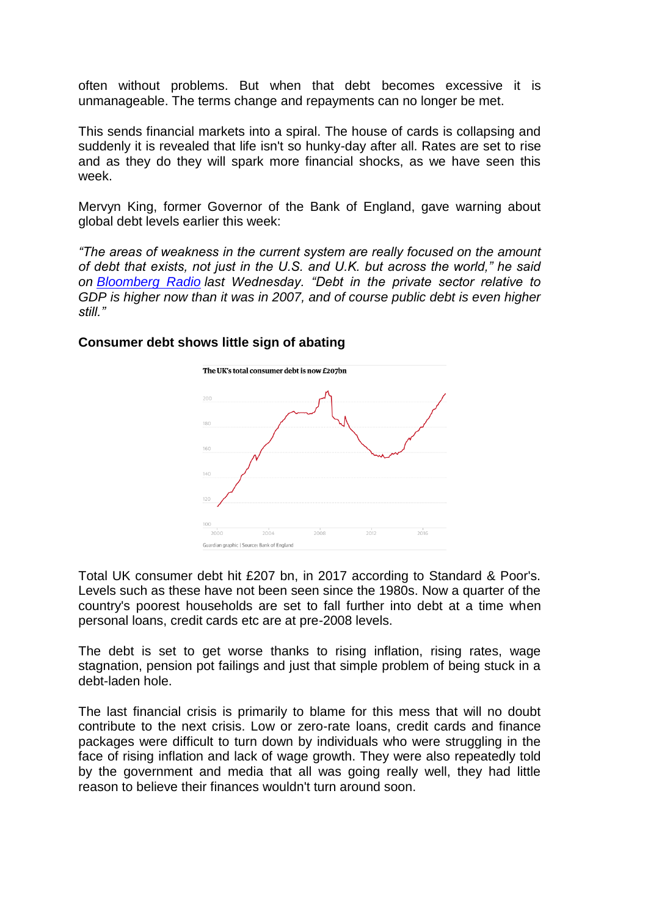often without problems. But when that debt becomes excessive it is unmanageable. The terms change and repayments can no longer be met.

This sends financial markets into a spiral. The house of cards is collapsing and suddenly it is revealed that life isn't so hunky-day after all. Rates are set to rise and as they do they will spark more financial shocks, as we have seen this week.

Mervyn King, former Governor of the Bank of England, gave warning about global debt levels earlier this week:

*"The areas of weakness in the current system are really focused on the amount of debt that exists, not just in the U.S. and U.K. but across the world," he said on [Bloomberg Radio](https://www.bloomberg.com/news/articles/2018-02-07/king-says-global-debt-may-contain-seeds-of-next-financial-crisis) last Wednesday. "Debt in the private sector relative to GDP is higher now than it was in 2007, and of course public debt is even higher still."*

#### **Consumer debt shows little sign of abating**



Total UK consumer debt hit £207 bn, in 2017 according to Standard & Poor's. Levels such as these have not been seen since the 1980s. Now a quarter of the country's poorest households are set to fall further into debt at a time when personal loans, credit cards etc are at pre-2008 levels.

The debt is set to get worse thanks to rising inflation, rising rates, wage stagnation, pension pot failings and just that simple problem of being stuck in a debt-laden hole.

The last financial crisis is primarily to blame for this mess that will no doubt contribute to the next crisis. Low or zero-rate loans, credit cards and finance packages were difficult to turn down by individuals who were struggling in the face of rising inflation and lack of wage growth. They were also repeatedly told by the government and media that all was going really well, they had little reason to believe their finances wouldn't turn around soon.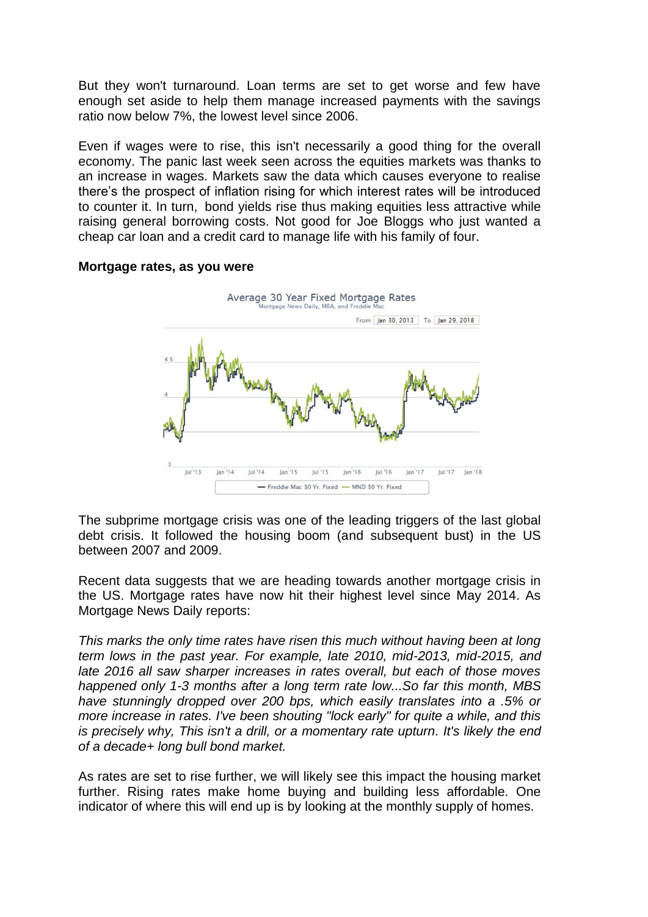But they won't turnaround. Loan terms are set to get worse and few have enough set aside to help them manage increased payments with the savings ratio now below 7%, the lowest level since 2006.

Even if wages were to rise, this isn't necessarily a good thing for the overall economy. The panic last week seen across the equities markets was thanks to an increase in wages. Markets saw the data which causes everyone to realise there's the prospect of inflation rising for which interest rates will be introduced to counter it. In turn, bond yields rise thus making equities less attractive while raising general borrowing costs. Not good for Joe Bloggs who just wanted a cheap car loan and a credit card to manage life with his family of four.



#### **Mortgage rates, as you were**

The subprime mortgage crisis was one of the leading triggers of the last global debt crisis. It followed the housing boom (and subsequent bust) in the US between 2007 and 2009.

Recent data suggests that we are heading towards another mortgage crisis in the US. Mortgage rates have now hit their highest level since May 2014. As Mortgage News Daily reports:

*This marks the only time rates have risen this much without having been at long term lows in the past year. For example, late 2010, mid-2013, mid-2015, and late 2016 all saw sharper increases in rates overall, but each of those moves happened only 1-3 months after a long term rate low...So far this month, MBS have stunningly dropped over 200 bps, which easily translates into a .5% or more increase in rates. I've been shouting "lock early" for quite a while, and this is precisely why, This isn't a drill, or a momentary rate upturn. It's likely the end of a decade+ long bull bond market.*

As rates are set to rise further, we will likely see this impact the housing market further. Rising rates make home buying and building less affordable. One indicator of where this will end up is by looking at the monthly supply of homes.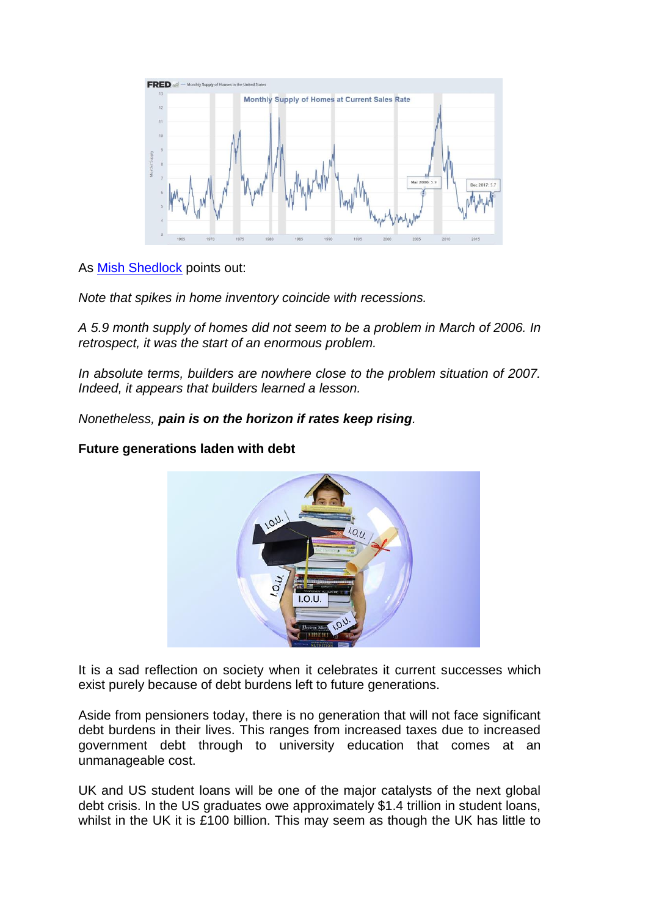

As [Mish Shedlock](https://www.themaven.net/mishtalk/economics/this-isn-t-a-drill-mortgage-rates-hit-highest-level-since-may-2014-5A6Yth7WO0GTEvS7SkajjA) points out:

*Note that spikes in home inventory coincide with recessions.*

*A 5.9 month supply of homes did not seem to be a problem in March of 2006. In retrospect, it was the start of an enormous problem.*

*In absolute terms, builders are nowhere close to the problem situation of 2007. Indeed, it appears that builders learned a lesson.*

*Nonetheless, pain is on the horizon if rates keep rising.*

## **Future generations laden with debt**



It is a sad reflection on society when it celebrates it current successes which exist purely because of debt burdens left to future generations.

Aside from pensioners today, there is no generation that will not face significant debt burdens in their lives. This ranges from increased taxes due to increased government debt through to university education that comes at an unmanageable cost.

UK and US student loans will be one of the major catalysts of the next global debt crisis. In the US graduates owe approximately \$1.4 trillion in student loans, whilst in the UK it is £100 billion. This may seem as though the UK has little to